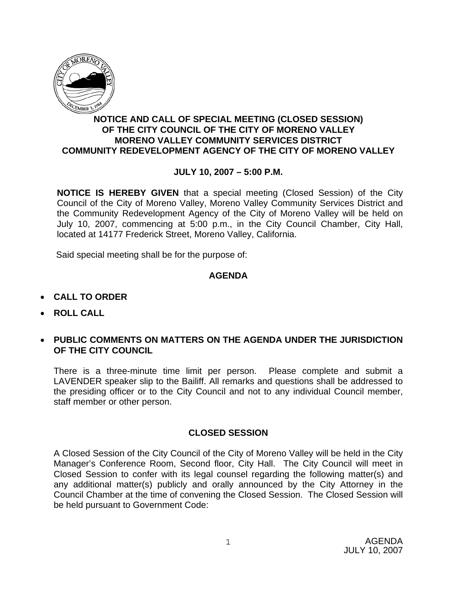

## **NOTICE AND CALL OF SPECIAL MEETING (CLOSED SESSION) OF THE CITY COUNCIL OF THE CITY OF MORENO VALLEY MORENO VALLEY COMMUNITY SERVICES DISTRICT COMMUNITY REDEVELOPMENT AGENCY OF THE CITY OF MORENO VALLEY**

## **JULY 10, 2007 – 5:00 P.M.**

**NOTICE IS HEREBY GIVEN** that a special meeting (Closed Session) of the City Council of the City of Moreno Valley, Moreno Valley Community Services District and the Community Redevelopment Agency of the City of Moreno Valley will be held on July 10, 2007, commencing at 5:00 p.m., in the City Council Chamber, City Hall, located at 14177 Frederick Street, Moreno Valley, California.

Said special meeting shall be for the purpose of:

#### **AGENDA**

- **CALL TO ORDER**
- **ROLL CALL**
- **PUBLIC COMMENTS ON MATTERS ON THE AGENDA UNDER THE JURISDICTION OF THE CITY COUNCIL**

There is a three-minute time limit per person. Please complete and submit a LAVENDER speaker slip to the Bailiff. All remarks and questions shall be addressed to the presiding officer or to the City Council and not to any individual Council member, staff member or other person.

#### **CLOSED SESSION**

A Closed Session of the City Council of the City of Moreno Valley will be held in the City Manager's Conference Room, Second floor, City Hall. The City Council will meet in Closed Session to confer with its legal counsel regarding the following matter(s) and any additional matter(s) publicly and orally announced by the City Attorney in the Council Chamber at the time of convening the Closed Session. The Closed Session will be held pursuant to Government Code: